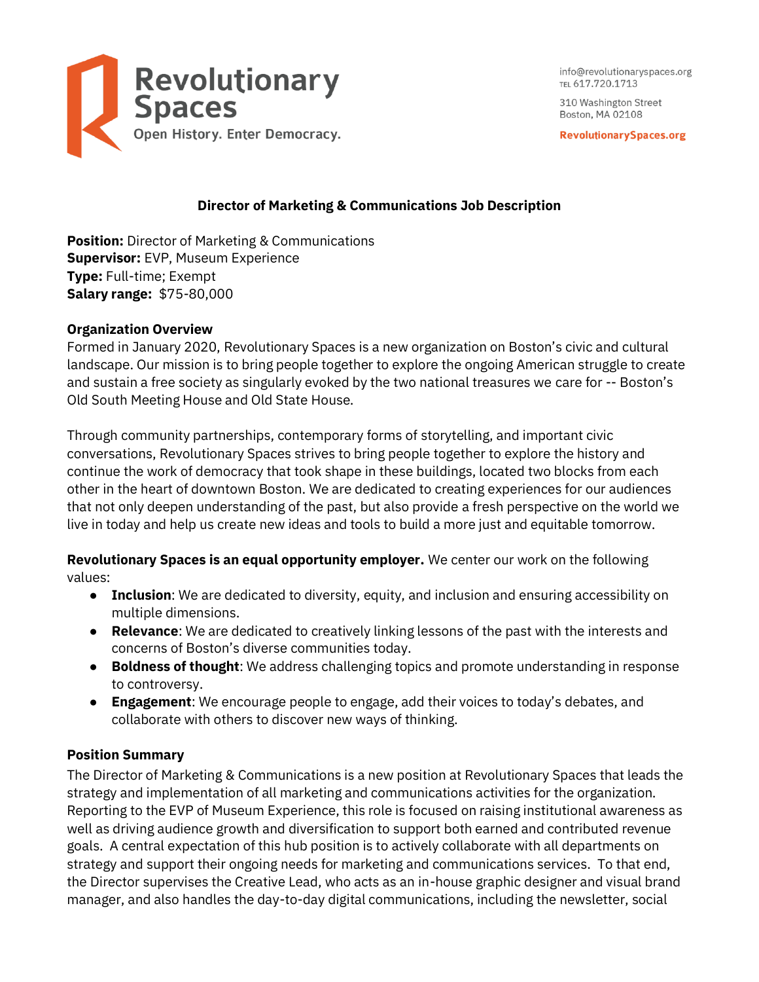

info@revolutionaryspaces.org TEL 617.720.1713

310 Washington Street Boston, MA 02108

**RevolutionarySpaces.org** 

## **Director of Marketing & Communications Job Description**

**Position:** Director of Marketing & Communications **Supervisor:** EVP, Museum Experience **Type:** Full-time; Exempt **Salary range:** \$75-80,000

#### **Organization Overview**

Formed in January 2020, Revolutionary Spaces is a new organization on Boston's civic and cultural landscape. Our mission is to bring people together to explore the ongoing American struggle to create and sustain a free society as singularly evoked by the two national treasures we care for -- Boston's Old South Meeting House and Old State House.

Through community partnerships, contemporary forms of storytelling, and important civic conversations, Revolutionary Spaces strives to bring people together to explore the history and continue the work of democracy that took shape in these buildings, located two blocks from each other in the heart of downtown Boston. We are dedicated to creating experiences for our audiences that not only deepen understanding of the past, but also provide a fresh perspective on the world we live in today and help us create new ideas and tools to build a more just and equitable tomorrow.

**Revolutionary Spaces is an equal opportunity employer.** We center our work on the following values:

- **Inclusion**: We are dedicated to diversity, equity, and inclusion and ensuring accessibility on multiple dimensions.
- **Relevance:** We are dedicated to creatively linking lessons of the past with the interests and concerns of Boston's diverse communities today.
- **Boldness of thought**: We address challenging topics and promote understanding in response to controversy.
- **Engagement**: We encourage people to engage, add their voices to today's debates, and collaborate with others to discover new ways of thinking.

### **Position Summary**

The Director of Marketing & Communications is a new position at Revolutionary Spaces that leads the strategy and implementation of all marketing and communications activities for the organization. Reporting to the EVP of Museum Experience, this role is focused on raising institutional awareness as well as driving audience growth and diversification to support both earned and contributed revenue goals. A central expectation of this hub position is to actively collaborate with all departments on strategy and support their ongoing needs for marketing and communications services. To that end, the Director supervises the Creative Lead, who acts as an in-house graphic designer and visual brand manager, and also handles the day-to-day digital communications, including the newsletter, social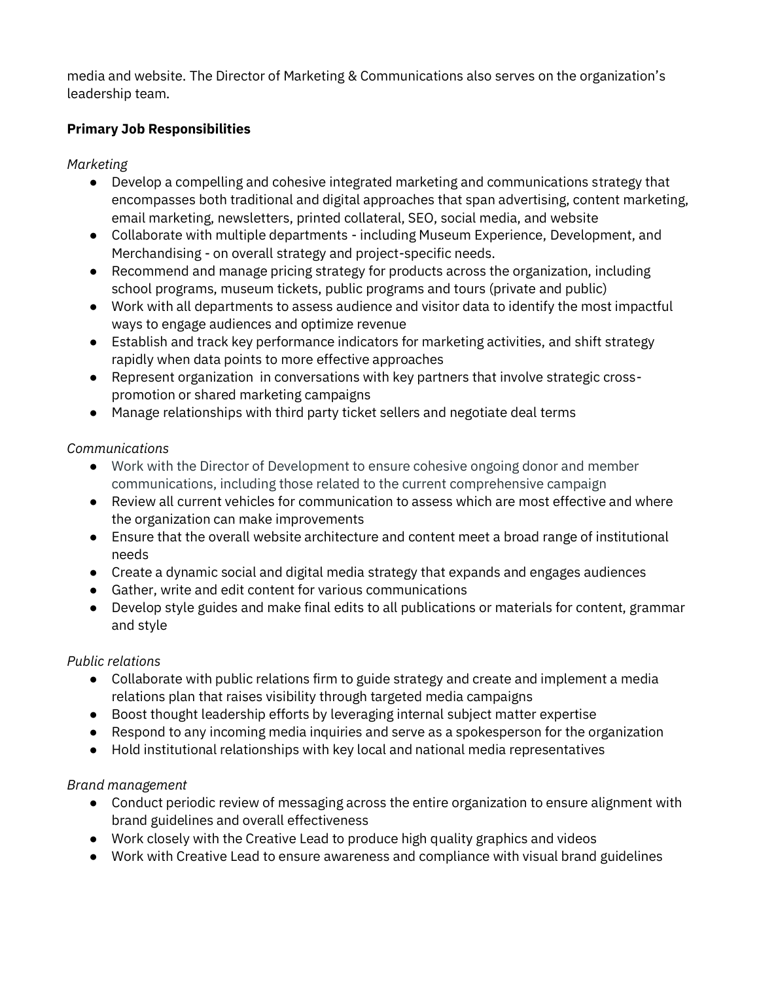media and website. The Director of Marketing & Communications also serves on the organization's leadership team.

## **Primary Job Responsibilities**

*Marketing*

- Develop a compelling and cohesive integrated marketing and communications strategy that encompasses both traditional and digital approaches that span advertising, content marketing, email marketing, newsletters, printed collateral, SEO, social media, and website
- Collaborate with multiple departments including Museum Experience, Development, and Merchandising - on overall strategy and project-specific needs.
- Recommend and manage pricing strategy for products across the organization, including school programs, museum tickets, public programs and tours (private and public)
- Work with all departments to assess audience and visitor data to identify the most impactful ways to engage audiences and optimize revenue
- Establish and track key performance indicators for marketing activities, and shift strategy rapidly when data points to more effective approaches
- Represent organization in conversations with key partners that involve strategic crosspromotion or shared marketing campaigns
- Manage relationships with third party ticket sellers and negotiate deal terms

## *Communications*

- Work with the Director of Development to ensure cohesive ongoing donor and member communications, including those related to the current comprehensive campaign
- Review all current vehicles for communication to assess which are most effective and where the organization can make improvements
- Ensure that the overall website architecture and content meet a broad range of institutional needs
- Create a dynamic social and digital media strategy that expands and engages audiences
- Gather, write and edit content for various communications
- Develop style guides and make final edits to all publications or materials for content, grammar and style

## *Public relations*

- Collaborate with public relations firm to guide strategy and create and implement a media relations plan that raises visibility through targeted media campaigns
- Boost thought leadership efforts by leveraging internal subject matter expertise
- Respond to any incoming media inquiries and serve as a spokesperson for the organization
- Hold institutional relationships with key local and national media representatives

# *Brand management*

- Conduct periodic review of messaging across the entire organization to ensure alignment with brand guidelines and overall effectiveness
- Work closely with the Creative Lead to produce high quality graphics and videos
- Work with Creative Lead to ensure awareness and compliance with visual brand guidelines